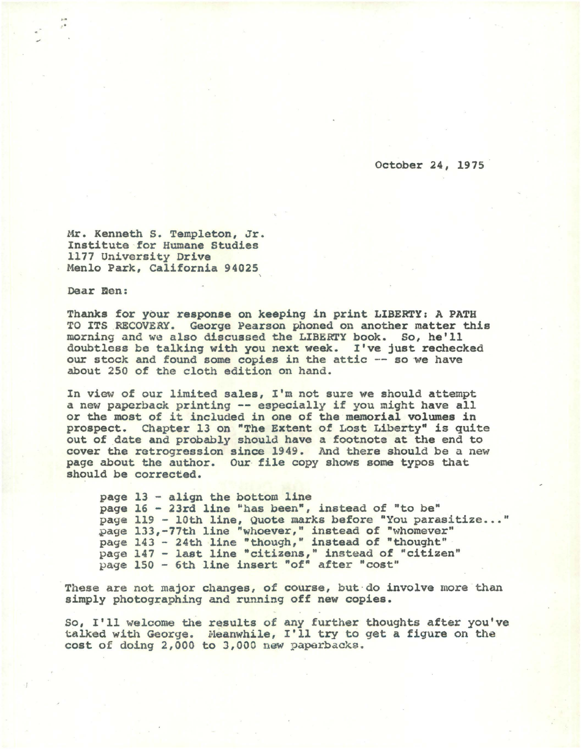October 24, 1975

Mr. Kenneth S. Templeton, Jr. Institute for Humane Studies 1177 University Drive Menlo Park, California 94025

Dear Ben:

Thanks for your response on keeping in print LIBERTY; A PATH TO ITS RECOVERY. George Pearson phoned on another matter this morning and we also discussed the LIBERTY book. So, he'll doubtless be talking with you next week. I've just rechecked our stock and found some copies in the attic -- so we have about 250 of the cloth edition on hand.

In view of our limited sales, I'm not sure we should attempt a new paperback printing -- especially if you might have all or the most of it included in one of the memorial volumes in prospect. Chapter 13 on "The Extent of Lost Liberty" is quite out of date and probably should have a footnote at the end to cover the retrogression since 1949. And there should be a new page about the author. Our file copy shows some typos that should be corrected.

page 13 - align the bottom line page 16 - 23rd line "has been", instead of "to be" page 119 - 10th line, Quote marks before "You parasitize ... " page 133,-77th line "whoever," instead of "whomever" page 143 - 24th line "though," instead of "thought" page 147 - last line "citizens," instead of "citizen" page 150 - 6th line insert "of" after "cost"

These are not major changes, of course, but do involve more than simply photographing and running off new copies.

So, I'll welcome the results of any further thoughts after you've talked with George. Meanwhile, I'll try to get a figure on the cost of doing 2,000 to J,OOO new paperbacks.